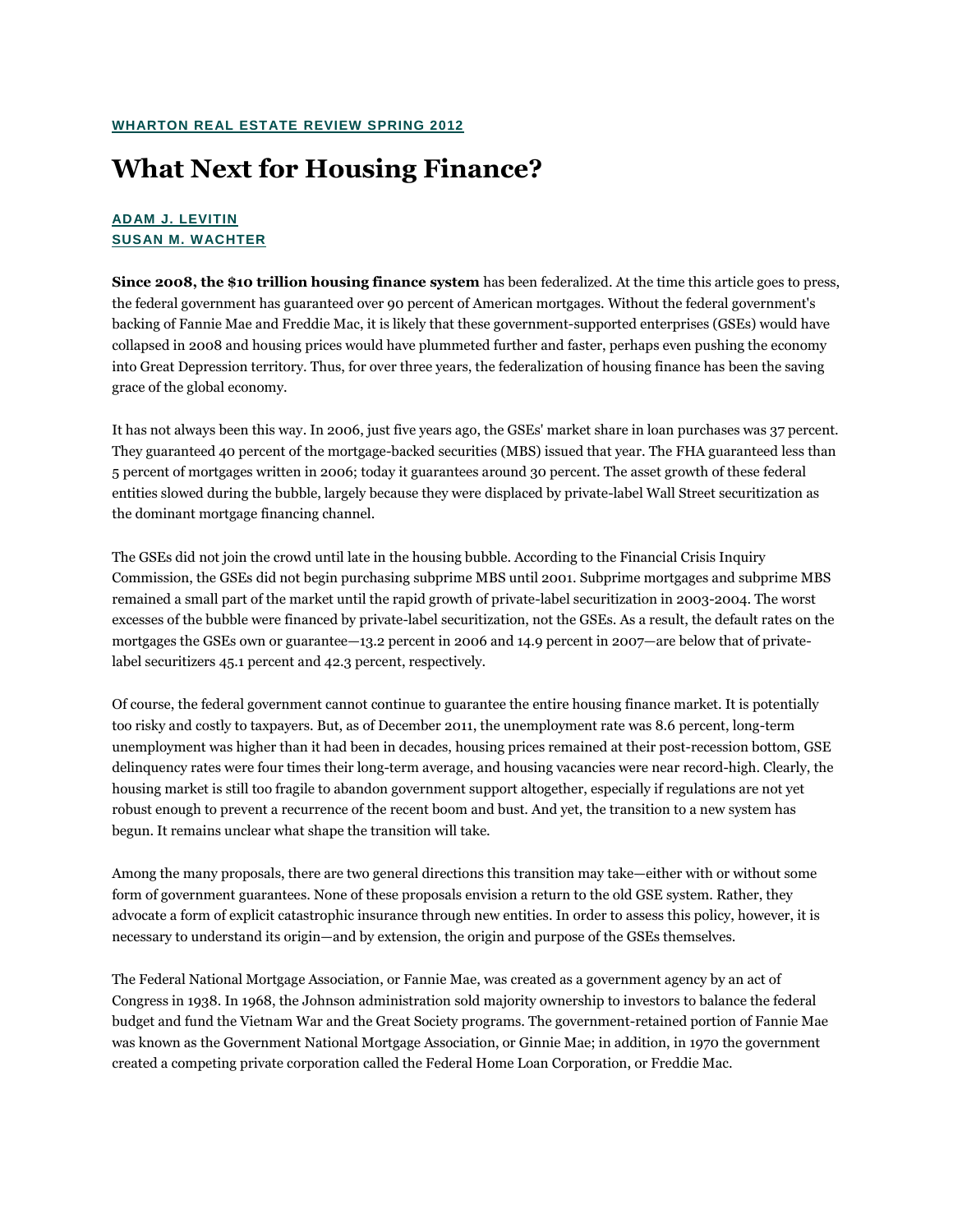## **What Next for Housing Finance?**

## **[ADAM J. LEVITIN](javascript:toggleBio(4);) [SUSAN M. WACHTER](javascript:toggleBio(3);)**

**Since 2008, the \$10 trillion housing finance system** has been federalized. At the time this article goes to press, the federal government has guaranteed over 90 percent of American mortgages. Without the federal government's backing of Fannie Mae and Freddie Mac, it is likely that these government-supported enterprises (GSEs) would have collapsed in 2008 and housing prices would have plummeted further and faster, perhaps even pushing the economy into Great Depression territory. Thus, for over three years, the federalization of housing finance has been the saving grace of the global economy.

It has not always been this way. In 2006, just five years ago, the GSEs' market share in loan purchases was 37 percent. They guaranteed 40 percent of the mortgage-backed securities (MBS) issued that year. The FHA guaranteed less than 5 percent of mortgages written in 2006; today it guarantees around 30 percent. The asset growth of these federal entities slowed during the bubble, largely because they were displaced by private-label Wall Street securitization as the dominant mortgage financing channel.

The GSEs did not join the crowd until late in the housing bubble. According to the Financial Crisis Inquiry Commission, the GSEs did not begin purchasing subprime MBS until 2001. Subprime mortgages and subprime MBS remained a small part of the market until the rapid growth of private-label securitization in 2003-2004. The worst excesses of the bubble were financed by private-label securitization, not the GSEs. As a result, the default rates on the mortgages the GSEs own or guarantee—13.2 percent in 2006 and 14.9 percent in 2007—are below that of privatelabel securitizers 45.1 percent and 42.3 percent, respectively.

Of course, the federal government cannot continue to guarantee the entire housing finance market. It is potentially too risky and costly to taxpayers. But, as of December 2011, the unemployment rate was 8.6 percent, long-term unemployment was higher than it had been in decades, housing prices remained at their post-recession bottom, GSE delinquency rates were four times their long-term average, and housing vacancies were near record-high. Clearly, the housing market is still too fragile to abandon government support altogether, especially if regulations are not yet robust enough to prevent a recurrence of the recent boom and bust. And yet, the transition to a new system has begun. It remains unclear what shape the transition will take.

Among the many proposals, there are two general directions this transition may take—either with or without some form of government guarantees. None of these proposals envision a return to the old GSE system. Rather, they advocate a form of explicit catastrophic insurance through new entities. In order to assess this policy, however, it is necessary to understand its origin—and by extension, the origin and purpose of the GSEs themselves.

The Federal National Mortgage Association, or Fannie Mae, was created as a government agency by an act of Congress in 1938. In 1968, the Johnson administration sold majority ownership to investors to balance the federal budget and fund the Vietnam War and the Great Society programs. The government-retained portion of Fannie Mae was known as the Government National Mortgage Association, or Ginnie Mae; in addition, in 1970 the government created a competing private corporation called the Federal Home Loan Corporation, or Freddie Mac.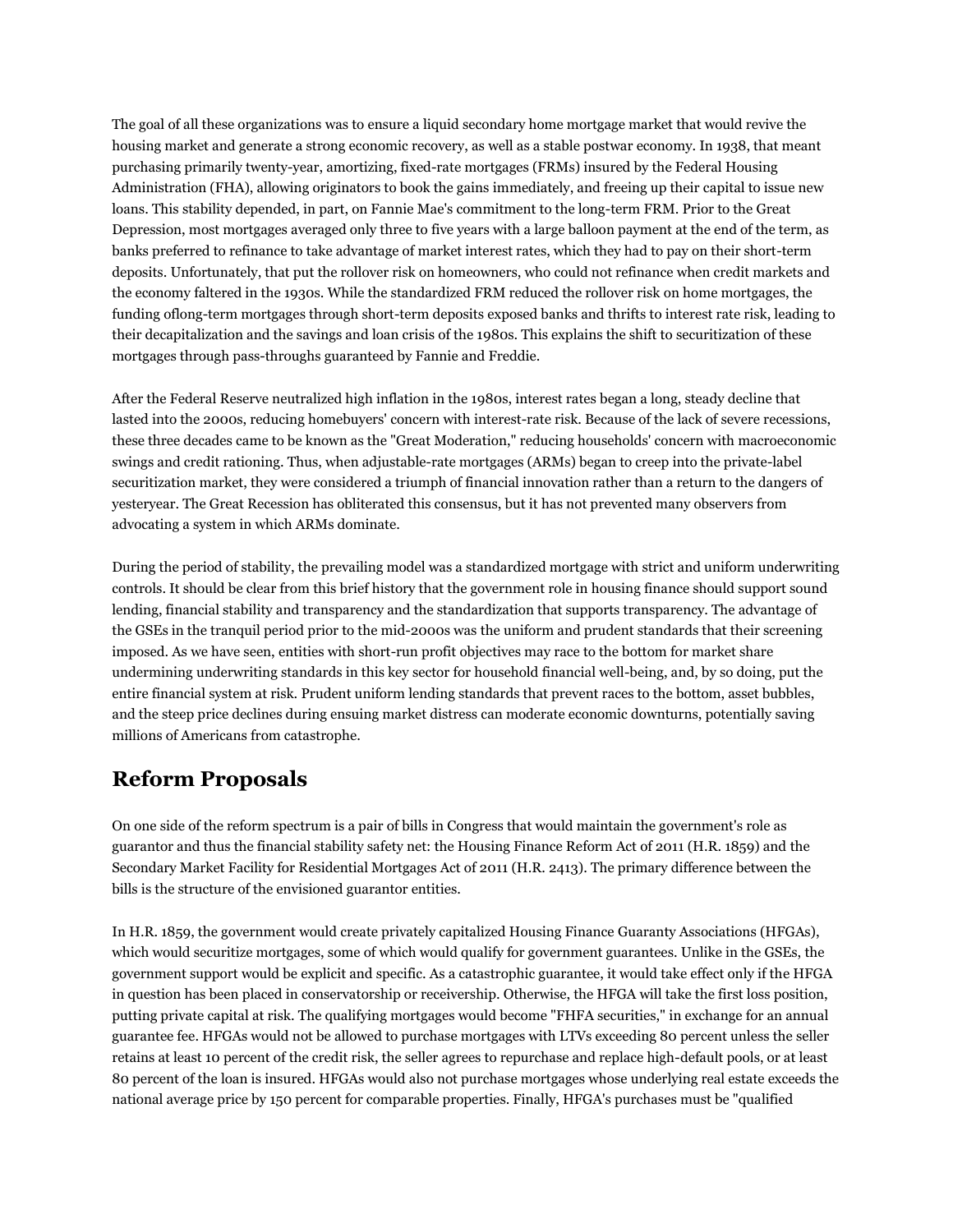The goal of all these organizations was to ensure a liquid secondary home mortgage market that would revive the housing market and generate a strong economic recovery, as well as a stable postwar economy. In 1938, that meant purchasing primarily twenty-year, amortizing, fixed-rate mortgages (FRMs) insured by the Federal Housing Administration (FHA), allowing originators to book the gains immediately, and freeing up their capital to issue new loans. This stability depended, in part, on Fannie Mae's commitment to the long-term FRM. Prior to the Great Depression, most mortgages averaged only three to five years with a large balloon payment at the end of the term, as banks preferred to refinance to take advantage of market interest rates, which they had to pay on their short-term deposits. Unfortunately, that put the rollover risk on homeowners, who could not refinance when credit markets and the economy faltered in the 1930s. While the standardized FRM reduced the rollover risk on home mortgages, the funding oflong-term mortgages through short-term deposits exposed banks and thrifts to interest rate risk, leading to their decapitalization and the savings and loan crisis of the 1980s. This explains the shift to securitization of these mortgages through pass-throughs guaranteed by Fannie and Freddie.

After the Federal Reserve neutralized high inflation in the 1980s, interest rates began a long, steady decline that lasted into the 2000s, reducing homebuyers' concern with interest-rate risk. Because of the lack of severe recessions, these three decades came to be known as the "Great Moderation," reducing households' concern with macroeconomic swings and credit rationing. Thus, when adjustable-rate mortgages (ARMs) began to creep into the private-label securitization market, they were considered a triumph of financial innovation rather than a return to the dangers of yesteryear. The Great Recession has obliterated this consensus, but it has not prevented many observers from advocating a system in which ARMs dominate.

During the period of stability, the prevailing model was a standardized mortgage with strict and uniform underwriting controls. It should be clear from this brief history that the government role in housing finance should support sound lending, financial stability and transparency and the standardization that supports transparency. The advantage of the GSEs in the tranquil period prior to the mid-2000s was the uniform and prudent standards that their screening imposed. As we have seen, entities with short-run profit objectives may race to the bottom for market share undermining underwriting standards in this key sector for household financial well-being, and, by so doing, put the entire financial system at risk. Prudent uniform lending standards that prevent races to the bottom, asset bubbles, and the steep price declines during ensuing market distress can moderate economic downturns, potentially saving millions of Americans from catastrophe.

## **Reform Proposals**

On one side of the reform spectrum is a pair of bills in Congress that would maintain the government's role as guarantor and thus the financial stability safety net: the Housing Finance Reform Act of 2011 (H.R. 1859) and the Secondary Market Facility for Residential Mortgages Act of 2011 (H.R. 2413). The primary difference between the bills is the structure of the envisioned guarantor entities.

In H.R. 1859, the government would create privately capitalized Housing Finance Guaranty Associations (HFGAs), which would securitize mortgages, some of which would qualify for government guarantees. Unlike in the GSEs, the government support would be explicit and specific. As a catastrophic guarantee, it would take effect only if the HFGA in question has been placed in conservatorship or receivership. Otherwise, the HFGA will take the first loss position, putting private capital at risk. The qualifying mortgages would become "FHFA securities," in exchange for an annual guarantee fee. HFGAs would not be allowed to purchase mortgages with LTVs exceeding 80 percent unless the seller retains at least 10 percent of the credit risk, the seller agrees to repurchase and replace high-default pools, or at least 80 percent of the loan is insured. HFGAs would also not purchase mortgages whose underlying real estate exceeds the national average price by 150 percent for comparable properties. Finally, HFGA's purchases must be "qualified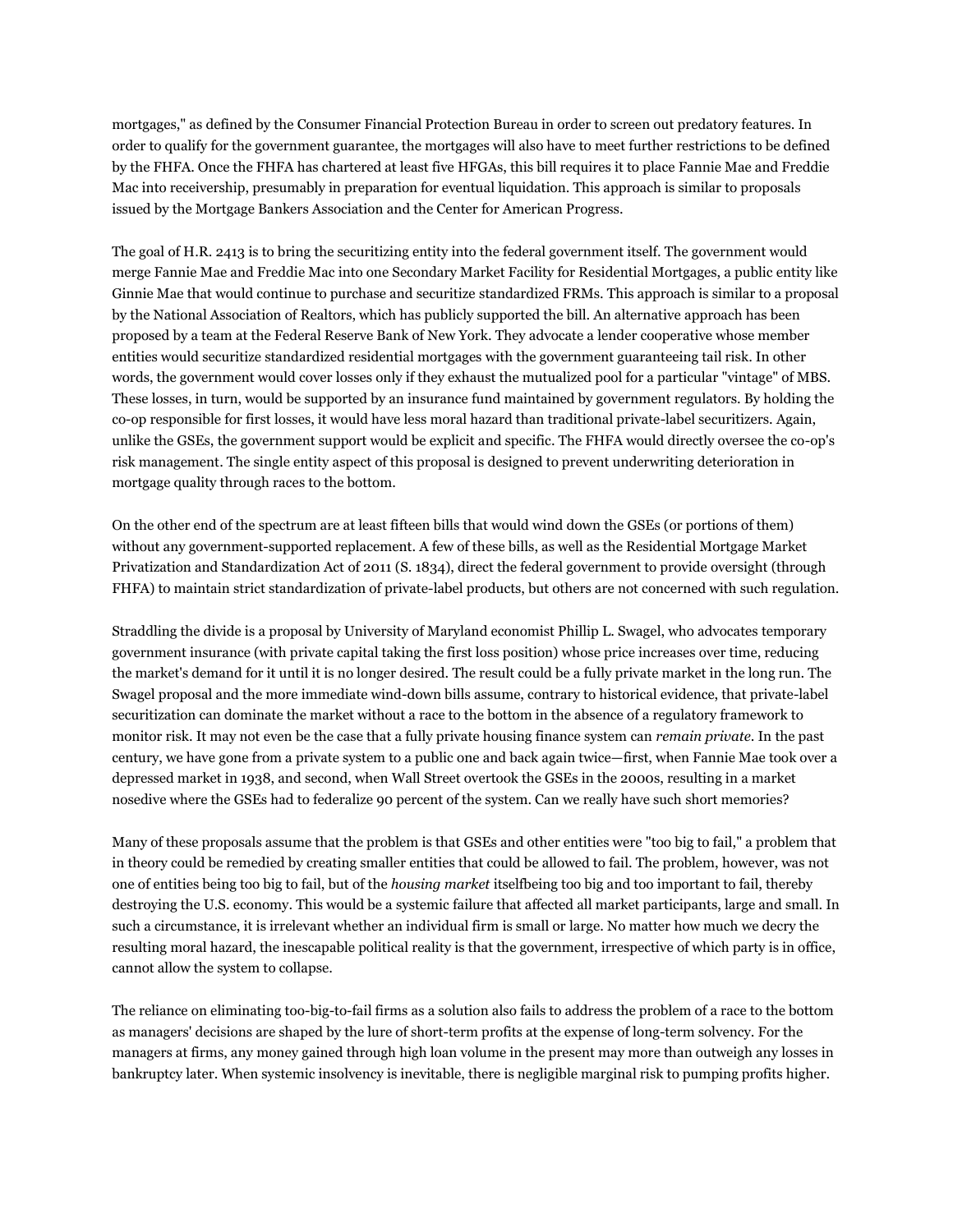mortgages," as defined by the Consumer Financial Protection Bureau in order to screen out predatory features. In order to qualify for the government guarantee, the mortgages will also have to meet further restrictions to be defined by the FHFA. Once the FHFA has chartered at least five HFGAs, this bill requires it to place Fannie Mae and Freddie Mac into receivership, presumably in preparation for eventual liquidation. This approach is similar to proposals issued by the Mortgage Bankers Association and the Center for American Progress.

The goal of H.R. 2413 is to bring the securitizing entity into the federal government itself. The government would merge Fannie Mae and Freddie Mac into one Secondary Market Facility for Residential Mortgages, a public entity like Ginnie Mae that would continue to purchase and securitize standardized FRMs. This approach is similar to a proposal by the National Association of Realtors, which has publicly supported the bill. An alternative approach has been proposed by a team at the Federal Reserve Bank of New York. They advocate a lender cooperative whose member entities would securitize standardized residential mortgages with the government guaranteeing tail risk. In other words, the government would cover losses only if they exhaust the mutualized pool for a particular "vintage" of MBS. These losses, in turn, would be supported by an insurance fund maintained by government regulators. By holding the co-op responsible for first losses, it would have less moral hazard than traditional private-label securitizers. Again, unlike the GSEs, the government support would be explicit and specific. The FHFA would directly oversee the co-op's risk management. The single entity aspect of this proposal is designed to prevent underwriting deterioration in mortgage quality through races to the bottom.

On the other end of the spectrum are at least fifteen bills that would wind down the GSEs (or portions of them) without any government-supported replacement. A few of these bills, as well as the Residential Mortgage Market Privatization and Standardization Act of 2011 (S. 1834), direct the federal government to provide oversight (through FHFA) to maintain strict standardization of private-label products, but others are not concerned with such regulation.

Straddling the divide is a proposal by University of Maryland economist Phillip L. Swagel, who advocates temporary government insurance (with private capital taking the first loss position) whose price increases over time, reducing the market's demand for it until it is no longer desired. The result could be a fully private market in the long run. The Swagel proposal and the more immediate wind-down bills assume, contrary to historical evidence, that private-label securitization can dominate the market without a race to the bottom in the absence of a regulatory framework to monitor risk. It may not even be the case that a fully private housing finance system can *remain private*. In the past century, we have gone from a private system to a public one and back again twice—first, when Fannie Mae took over a depressed market in 1938, and second, when Wall Street overtook the GSEs in the 2000s, resulting in a market nosedive where the GSEs had to federalize 90 percent of the system. Can we really have such short memories?

Many of these proposals assume that the problem is that GSEs and other entities were "too big to fail," a problem that in theory could be remedied by creating smaller entities that could be allowed to fail. The problem, however, was not one of entities being too big to fail, but of the *housing market* itselfbeing too big and too important to fail, thereby destroying the U.S. economy. This would be a systemic failure that affected all market participants, large and small. In such a circumstance, it is irrelevant whether an individual firm is small or large. No matter how much we decry the resulting moral hazard, the inescapable political reality is that the government, irrespective of which party is in office, cannot allow the system to collapse.

The reliance on eliminating too-big-to-fail firms as a solution also fails to address the problem of a race to the bottom as managers' decisions are shaped by the lure of short-term profits at the expense of long-term solvency. For the managers at firms, any money gained through high loan volume in the present may more than outweigh any losses in bankruptcy later. When systemic insolvency is inevitable, there is negligible marginal risk to pumping profits higher.